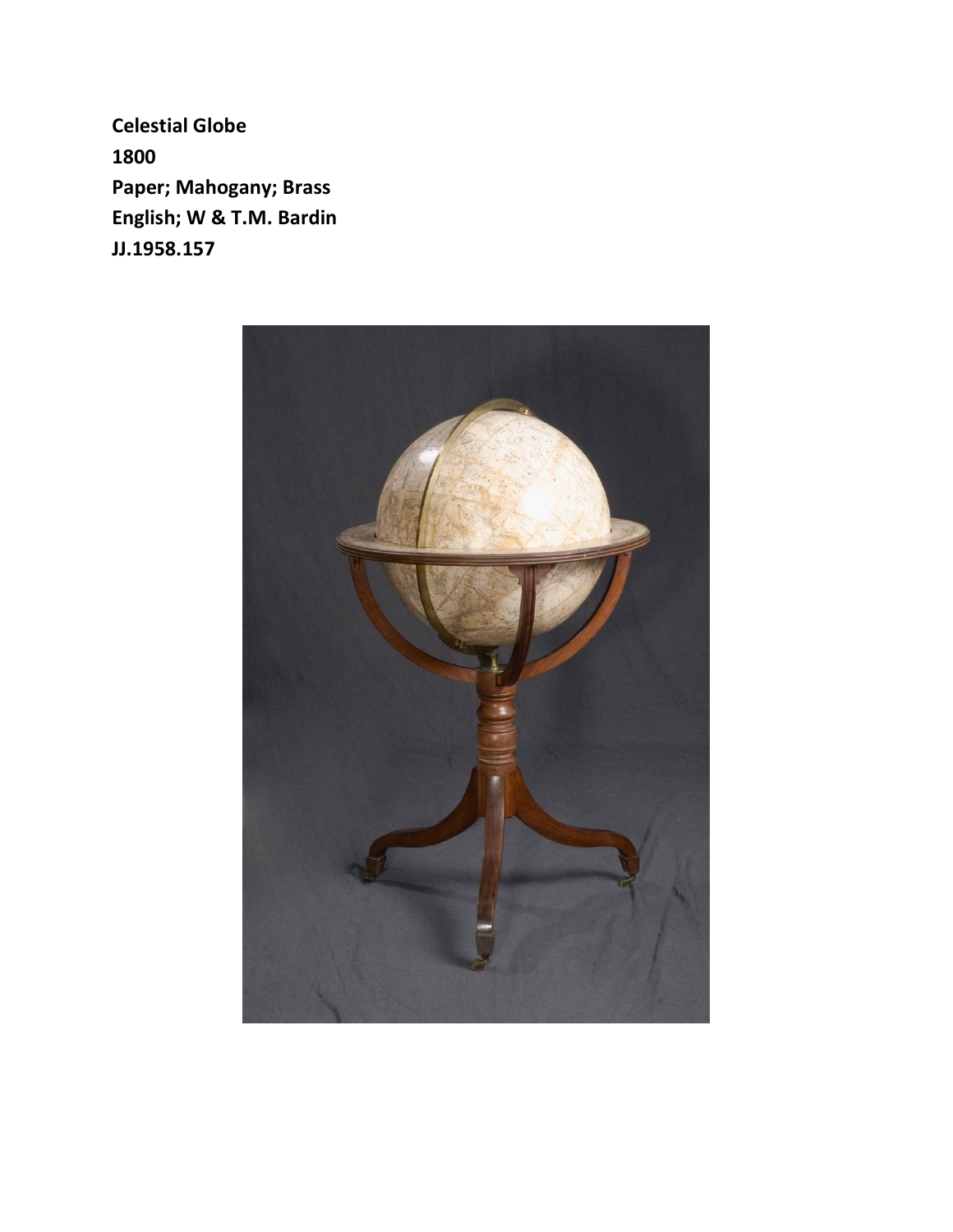**Celestial Globe 1800 Paper; Mahogany; Brass English; W & T.M. Bardin JJ.1958.157**

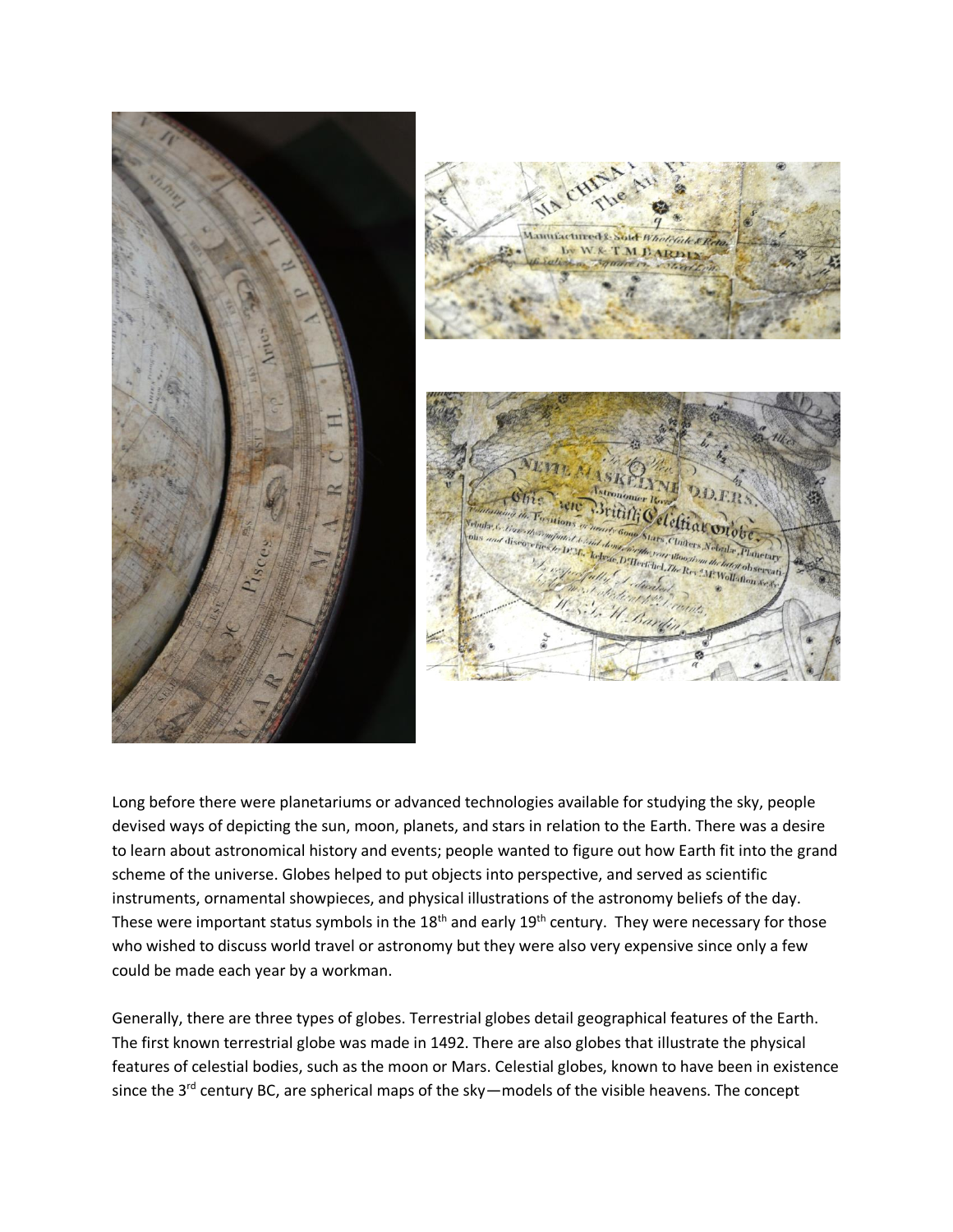

Long before there were planetariums or advanced technologies available for studying the sky, people devised ways of depicting the sun, moon, planets, and stars in relation to the Earth. There was a desire to learn about astronomical history and events; people wanted to figure out how Earth fit into the grand scheme of the universe. Globes helped to put objects into perspective, and served as scientific instruments, ornamental showpieces, and physical illustrations of the astronomy beliefs of the day. These were important status symbols in the  $18<sup>th</sup>$  and early  $19<sup>th</sup>$  century. They were necessary for those who wished to discuss world travel or astronomy but they were also very expensive since only a few could be made each year by a workman.

Generally, there are three types of globes. Terrestrial globes detail geographical features of the Earth. The first known terrestrial globe was made in 1492. There are also globes that illustrate the physical features of celestial bodies, such as the moon or Mars. Celestial globes, known to have been in existence since the 3<sup>rd</sup> century BC, are spherical maps of the sky—models of the visible heavens. The concept